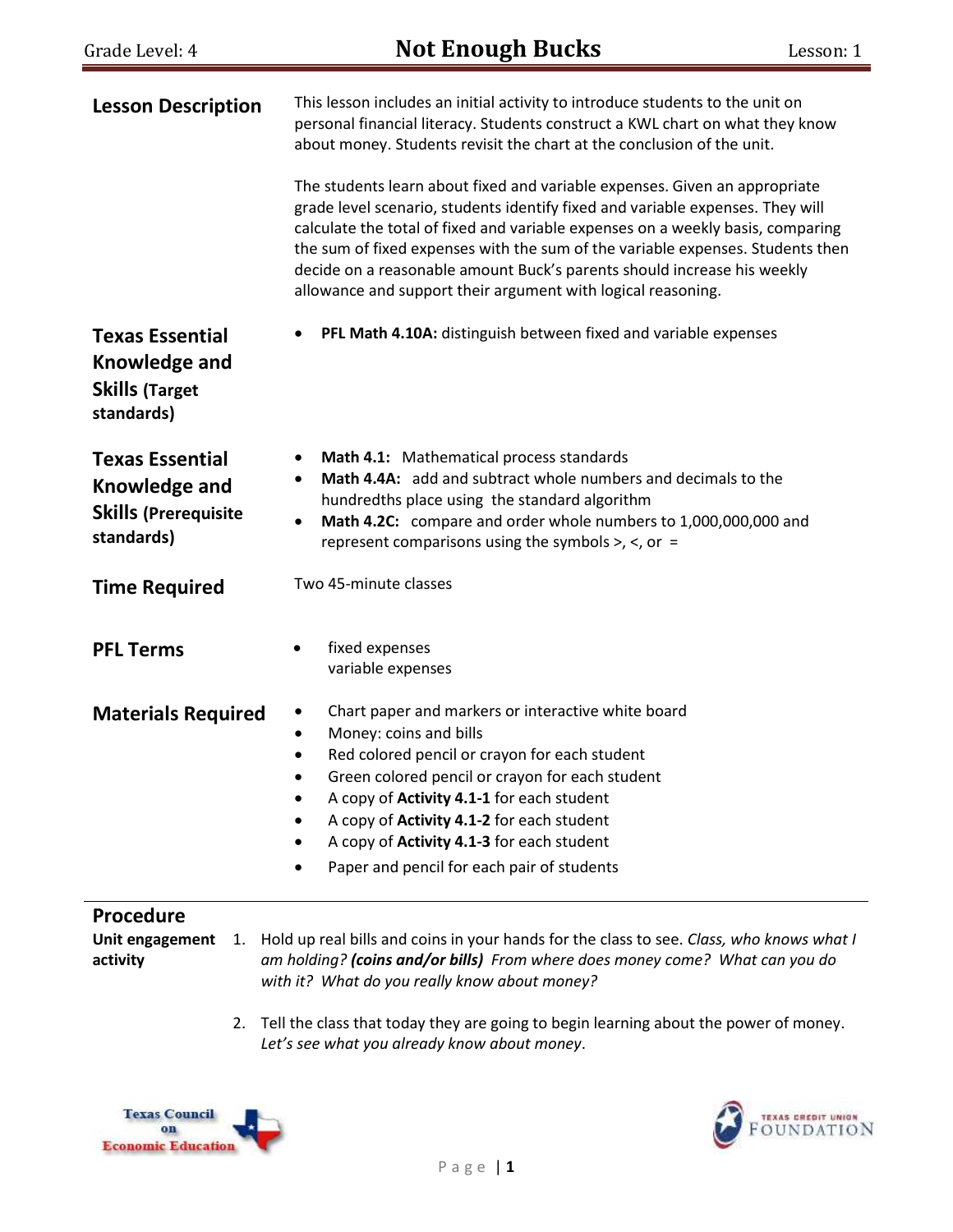| <b>Lesson Description</b>                                                            | This lesson includes an initial activity to introduce students to the unit on<br>personal financial literacy. Students construct a KWL chart on what they know<br>about money. Students revisit the chart at the conclusion of the unit.<br>The students learn about fixed and variable expenses. Given an appropriate<br>grade level scenario, students identify fixed and variable expenses. They will<br>calculate the total of fixed and variable expenses on a weekly basis, comparing<br>the sum of fixed expenses with the sum of the variable expenses. Students then<br>decide on a reasonable amount Buck's parents should increase his weekly<br>allowance and support their argument with logical reasoning. |  |  |
|--------------------------------------------------------------------------------------|--------------------------------------------------------------------------------------------------------------------------------------------------------------------------------------------------------------------------------------------------------------------------------------------------------------------------------------------------------------------------------------------------------------------------------------------------------------------------------------------------------------------------------------------------------------------------------------------------------------------------------------------------------------------------------------------------------------------------|--|--|
| <b>Texas Essential</b><br>Knowledge and<br><b>Skills (Target</b><br>standards)       | PFL Math 4.10A: distinguish between fixed and variable expenses                                                                                                                                                                                                                                                                                                                                                                                                                                                                                                                                                                                                                                                          |  |  |
| <b>Texas Essential</b><br>Knowledge and<br><b>Skills (Prerequisite</b><br>standards) | Math 4.1: Mathematical process standards<br>Math 4.4A: add and subtract whole numbers and decimals to the<br>hundredths place using the standard algorithm<br>Math 4.2C: compare and order whole numbers to 1,000,000,000 and<br>٠<br>represent comparisons using the symbols $>$ , $\lt$ , or =                                                                                                                                                                                                                                                                                                                                                                                                                         |  |  |
| <b>Time Required</b>                                                                 | Two 45-minute classes                                                                                                                                                                                                                                                                                                                                                                                                                                                                                                                                                                                                                                                                                                    |  |  |
| <b>PFL Terms</b>                                                                     | fixed expenses<br>variable expenses                                                                                                                                                                                                                                                                                                                                                                                                                                                                                                                                                                                                                                                                                      |  |  |
| <b>Materials Required</b>                                                            | Chart paper and markers or interactive white board<br>٠<br>Money: coins and bills<br>٠<br>Red colored pencil or crayon for each student<br>Green colored pencil or crayon for each student<br>٠<br>A copy of Activity 4.1-1 for each student<br>A copy of Activity 4.1-2 for each student<br>A copy of Activity 4.1-3 for each student<br>Paper and pencil for each pair of students                                                                                                                                                                                                                                                                                                                                     |  |  |

#### **Procedure**

**activity**

**Unit engagement**  1. Hold up real bills and coins in your hands for the class to see. *Class, who knows what I am holding? (coins and/or bills) From where does money come? What can you do with it? What do you really know about money?* 

> 2. Tell the class that today they are going to begin learning about the power of money. *Let's see what you already know about money*.



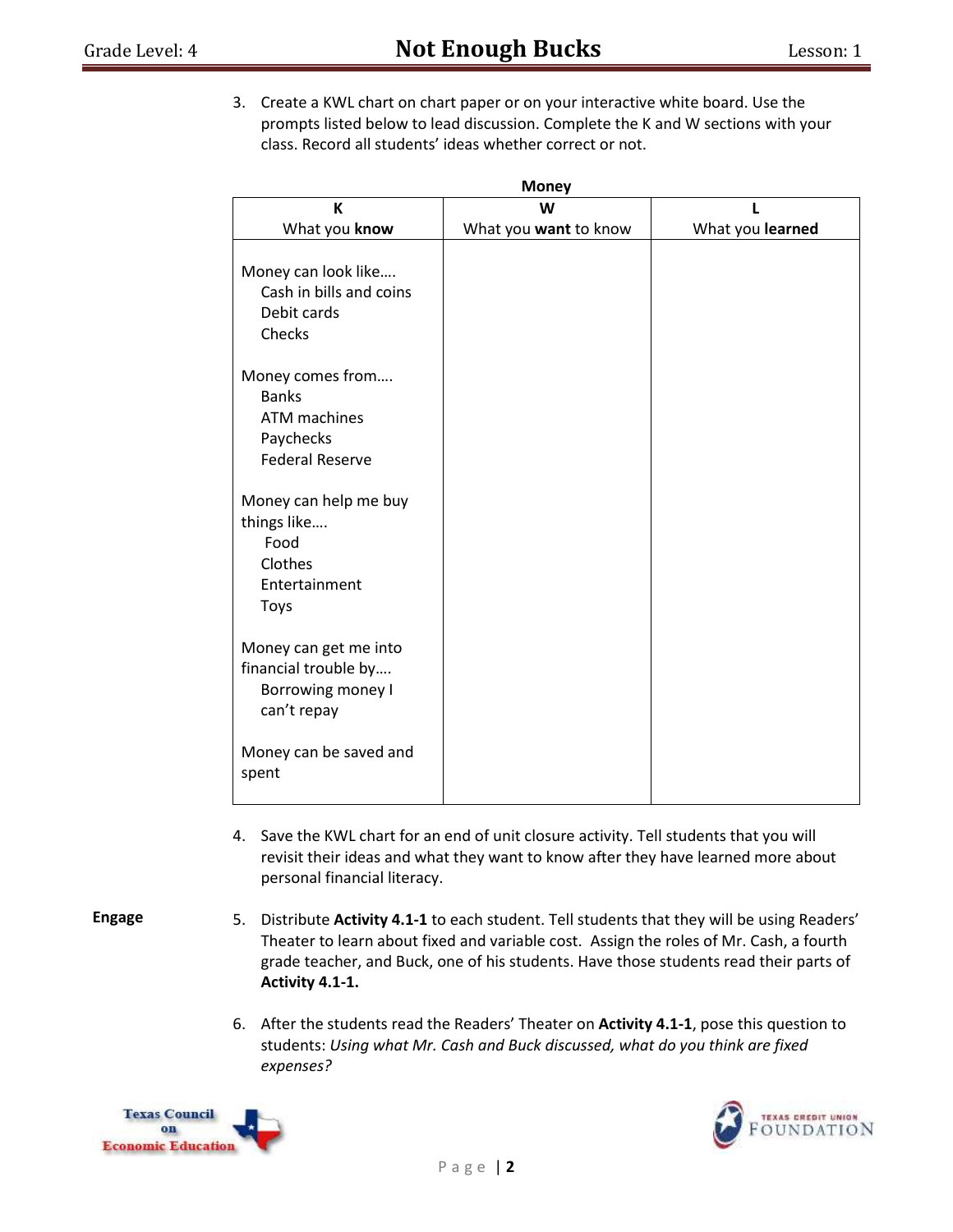3. Create a KWL chart on chart paper or on your interactive white board. Use the prompts listed below to lead discussion. Complete the K and W sections with your class. Record all students' ideas whether correct or not.

**Money**

| <b>IVIUILY</b><br>К<br>W |                       |                  |  |  |  |
|--------------------------|-----------------------|------------------|--|--|--|
| What you know            | What you want to know | What you learned |  |  |  |
|                          |                       |                  |  |  |  |
| Money can look like      |                       |                  |  |  |  |
| Cash in bills and coins  |                       |                  |  |  |  |
| Debit cards              |                       |                  |  |  |  |
| Checks                   |                       |                  |  |  |  |
| Money comes from         |                       |                  |  |  |  |
| <b>Banks</b>             |                       |                  |  |  |  |
| ATM machines             |                       |                  |  |  |  |
| Paychecks                |                       |                  |  |  |  |
| <b>Federal Reserve</b>   |                       |                  |  |  |  |
| Money can help me buy    |                       |                  |  |  |  |
| things like              |                       |                  |  |  |  |
| Food                     |                       |                  |  |  |  |
| Clothes                  |                       |                  |  |  |  |
| Entertainment            |                       |                  |  |  |  |
| <b>Toys</b>              |                       |                  |  |  |  |
| Money can get me into    |                       |                  |  |  |  |
| financial trouble by     |                       |                  |  |  |  |
| Borrowing money I        |                       |                  |  |  |  |
| can't repay              |                       |                  |  |  |  |
| Money can be saved and   |                       |                  |  |  |  |
| spent                    |                       |                  |  |  |  |
|                          |                       |                  |  |  |  |

4. Save the KWL chart for an end of unit closure activity. Tell students that you will revisit their ideas and what they want to know after they have learned more about personal financial literacy.

**Engage**

- 5. Distribute **Activity 4.1-1** to each student. Tell students that they will be using Readers' Theater to learn about fixed and variable cost. Assign the roles of Mr. Cash, a fourth grade teacher, and Buck, one of his students. Have those students read their parts of **Activity 4.1-1.**
- 6. After the students read the Readers' Theater on **Activity 4.1-1**, pose this question to students: *Using what Mr. Cash and Buck discussed, what do you think are fixed expenses?*



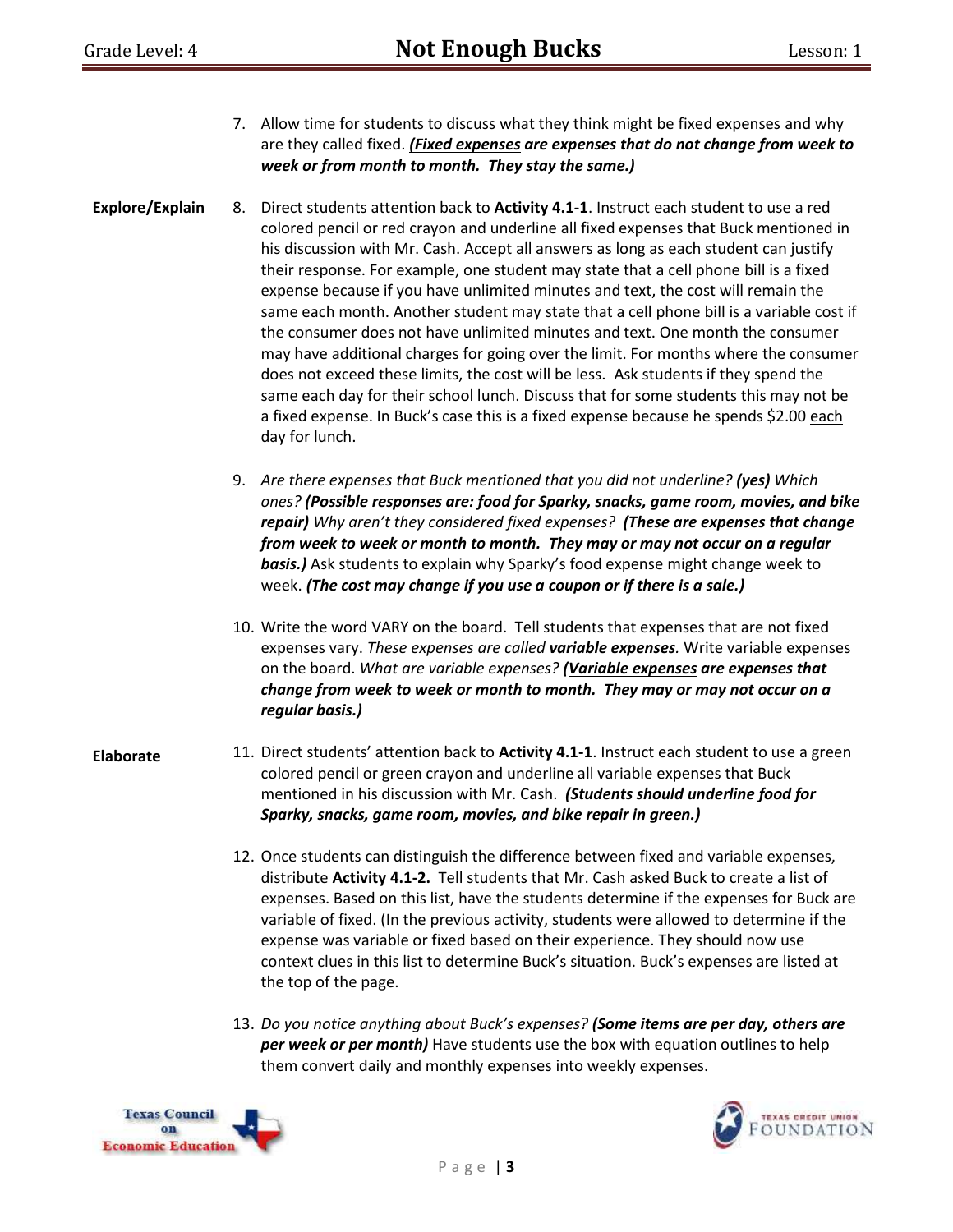- 7. Allow time for students to discuss what they think might be fixed expenses and why are they called fixed. *(Fixed expenses are expenses that do not change from week to week or from month to month. They stay the same.)*
- **Explore/Explain** 8. Direct students attention back to **Activity 4.1-1**. Instruct each student to use a red colored pencil or red crayon and underline all fixed expenses that Buck mentioned in his discussion with Mr. Cash. Accept all answers as long as each student can justify their response. For example, one student may state that a cell phone bill is a fixed expense because if you have unlimited minutes and text, the cost will remain the same each month. Another student may state that a cell phone bill is a variable cost if the consumer does not have unlimited minutes and text. One month the consumer may have additional charges for going over the limit. For months where the consumer does not exceed these limits, the cost will be less. Ask students if they spend the same each day for their school lunch. Discuss that for some students this may not be a fixed expense. In Buck's case this is a fixed expense because he spends \$2.00 each day for lunch.
	- 9. *Are there expenses that Buck mentioned that you did not underline? (yes) Which ones? (Possible responses are: food for Sparky, snacks, game room, movies, and bike repair) Why aren't they considered fixed expenses? (These are expenses that change from week to week or month to month. They may or may not occur on a regular basis.)* Ask students to explain why Sparky's food expense might change week to week. *(The cost may change if you use a coupon or if there is a sale.)*
	- 10. Write the word VARY on the board. Tell students that expenses that are not fixed expenses vary. *These expenses are called variable expenses.* Write variable expenses on the board. *What are variable expenses? (Variable expenses are expenses that change from week to week or month to month. They may or may not occur on a regular basis.)*
- **Elaborate** 11. Direct students' attention back to **Activity 4.1-1**. Instruct each student to use a green colored pencil or green crayon and underline all variable expenses that Buck mentioned in his discussion with Mr. Cash. *(Students should underline food for Sparky, snacks, game room, movies, and bike repair in green.)*
	- 12. Once students can distinguish the difference between fixed and variable expenses, distribute **Activity 4.1-2.** Tell students that Mr. Cash asked Buck to create a list of expenses. Based on this list, have the students determine if the expenses for Buck are variable of fixed. (In the previous activity, students were allowed to determine if the expense was variable or fixed based on their experience. They should now use context clues in this list to determine Buck's situation. Buck's expenses are listed at the top of the page.
	- 13. *Do you notice anything about Buck's expenses? (Some items are per day, others are per week or per month)* Have students use the box with equation outlines to help them convert daily and monthly expenses into weekly expenses.



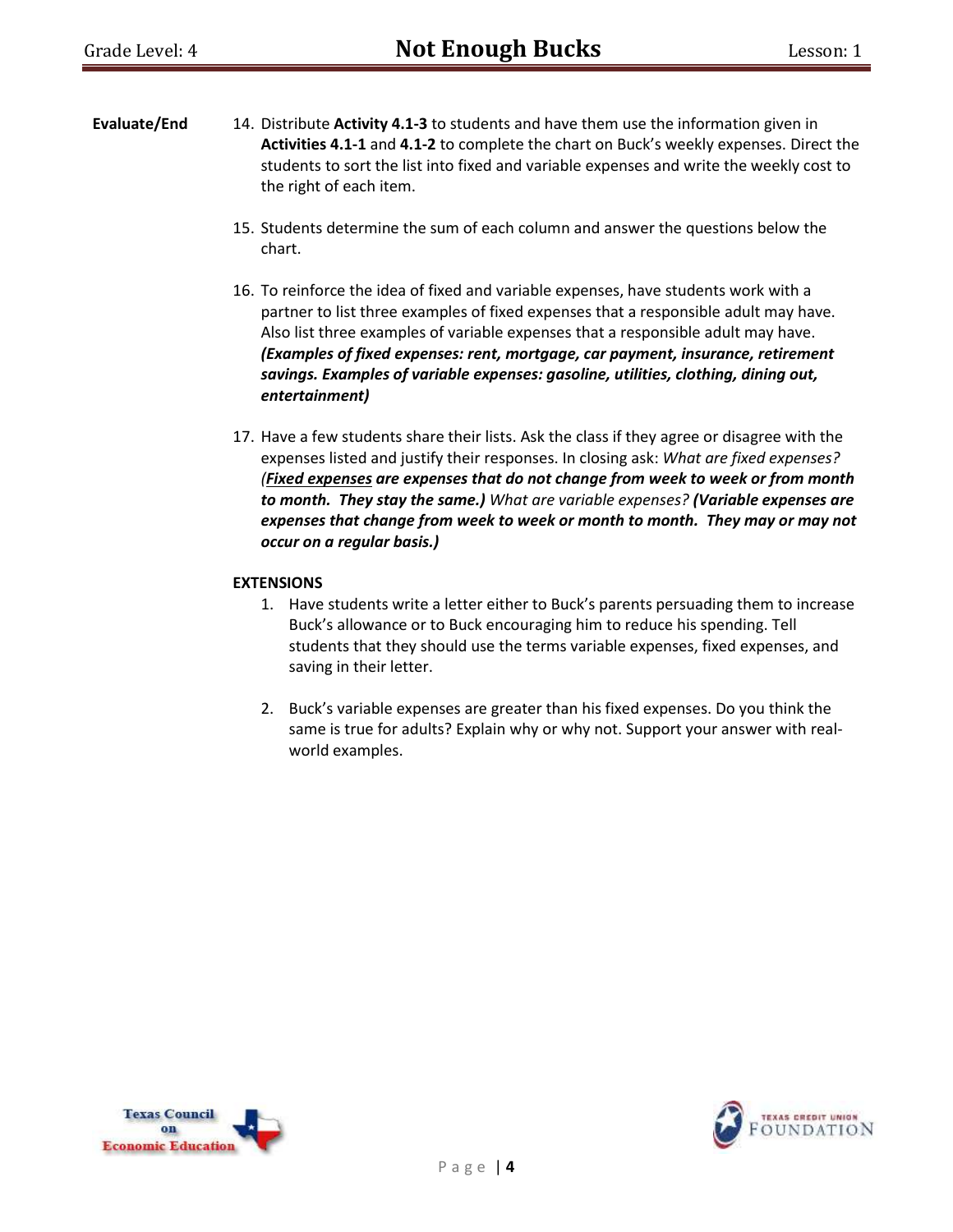- **Evaluate/End** 14. Distribute **Activity 4.1-3** to students and have them use the information given in **Activities 4.1-1** and **4.1-2** to complete the chart on Buck's weekly expenses. Direct the students to sort the list into fixed and variable expenses and write the weekly cost to the right of each item.
	- 15. Students determine the sum of each column and answer the questions below the chart.
	- 16. To reinforce the idea of fixed and variable expenses, have students work with a partner to list three examples of fixed expenses that a responsible adult may have. Also list three examples of variable expenses that a responsible adult may have. *(Examples of fixed expenses: rent, mortgage, car payment, insurance, retirement savings. Examples of variable expenses: gasoline, utilities, clothing, dining out, entertainment)*
	- 17. Have a few students share their lists. Ask the class if they agree or disagree with the expenses listed and justify their responses. In closing ask: *What are fixed expenses? (Fixed expenses are expenses that do not change from week to week or from month to month. They stay the same.) What are variable expenses? (Variable expenses are expenses that change from week to week or month to month. They may or may not occur on a regular basis.)*

#### **EXTENSIONS**

- 1. Have students write a letter either to Buck's parents persuading them to increase Buck's allowance or to Buck encouraging him to reduce his spending. Tell students that they should use the terms variable expenses, fixed expenses, and saving in their letter.
- 2. Buck's variable expenses are greater than his fixed expenses. Do you think the same is true for adults? Explain why or why not. Support your answer with realworld examples.



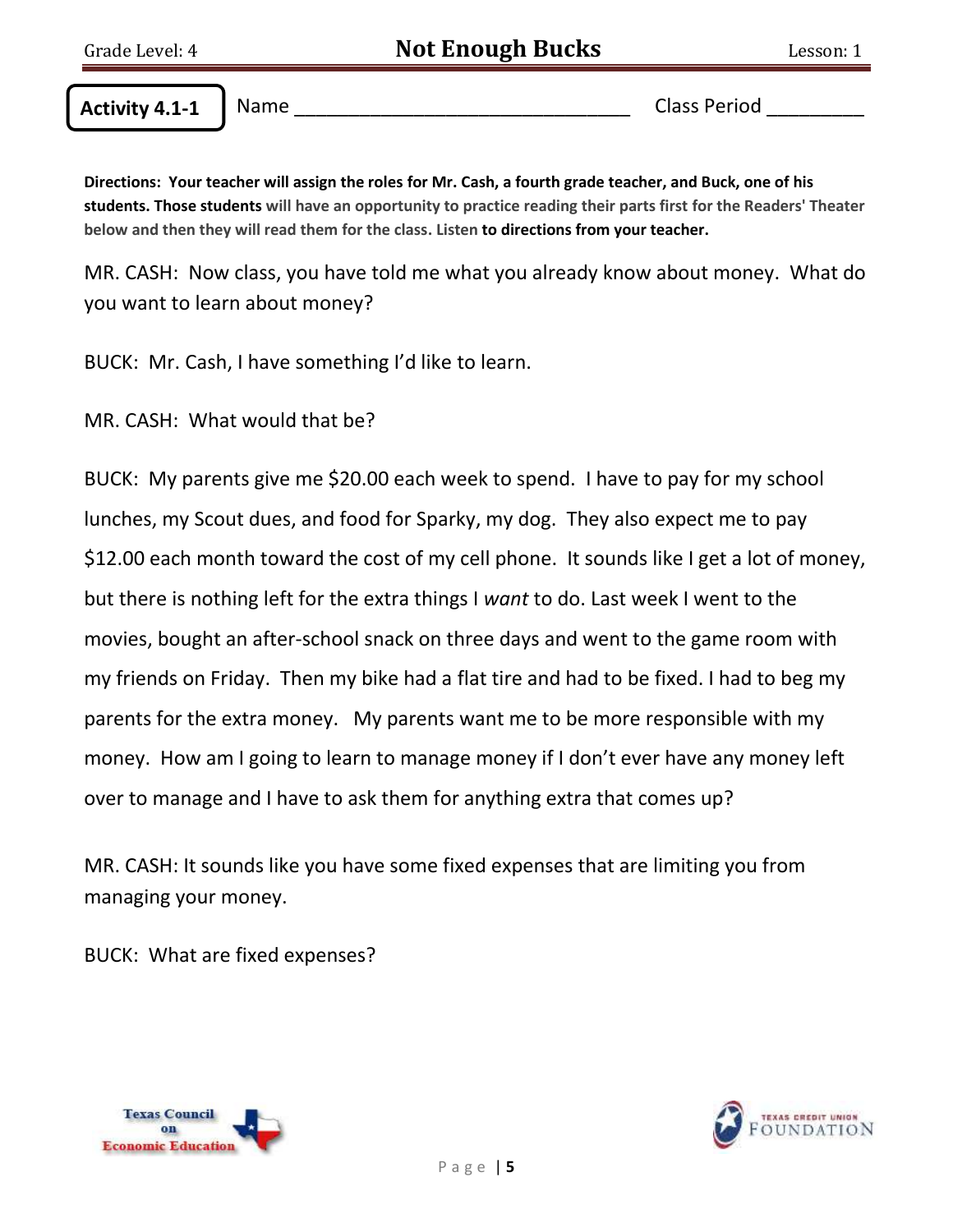Name \_\_\_\_\_\_\_\_\_\_\_\_\_\_\_\_\_\_\_\_\_\_\_\_\_\_\_\_\_\_\_ Class Period \_\_\_\_\_\_\_\_\_ **Activity 4.1-1**

**Directions: Your teacher will assign the roles for Mr. Cash, a fourth grade teacher, and Buck, one of his students. Those students will have an opportunity to practice reading their parts first for the Readers' Theater below and then they will read them for the class. Listen to directions from your teacher.**

MR. CASH: Now class, you have told me what you already know about money. What do you want to learn about money?

BUCK: Mr. Cash, I have something I'd like to learn.

MR. CASH: What would that be?

BUCK: My parents give me \$20.00 each week to spend. I have to pay for my school lunches, my Scout dues, and food for Sparky, my dog. They also expect me to pay \$12.00 each month toward the cost of my cell phone. It sounds like I get a lot of money, but there is nothing left for the extra things I *want* to do. Last week I went to the movies, bought an after-school snack on three days and went to the game room with my friends on Friday. Then my bike had a flat tire and had to be fixed. I had to beg my parents for the extra money. My parents want me to be more responsible with my money. How am I going to learn to manage money if I don't ever have any money left over to manage and I have to ask them for anything extra that comes up?

MR. CASH: It sounds like you have some fixed expenses that are limiting you from managing your money.

BUCK: What are fixed expenses?



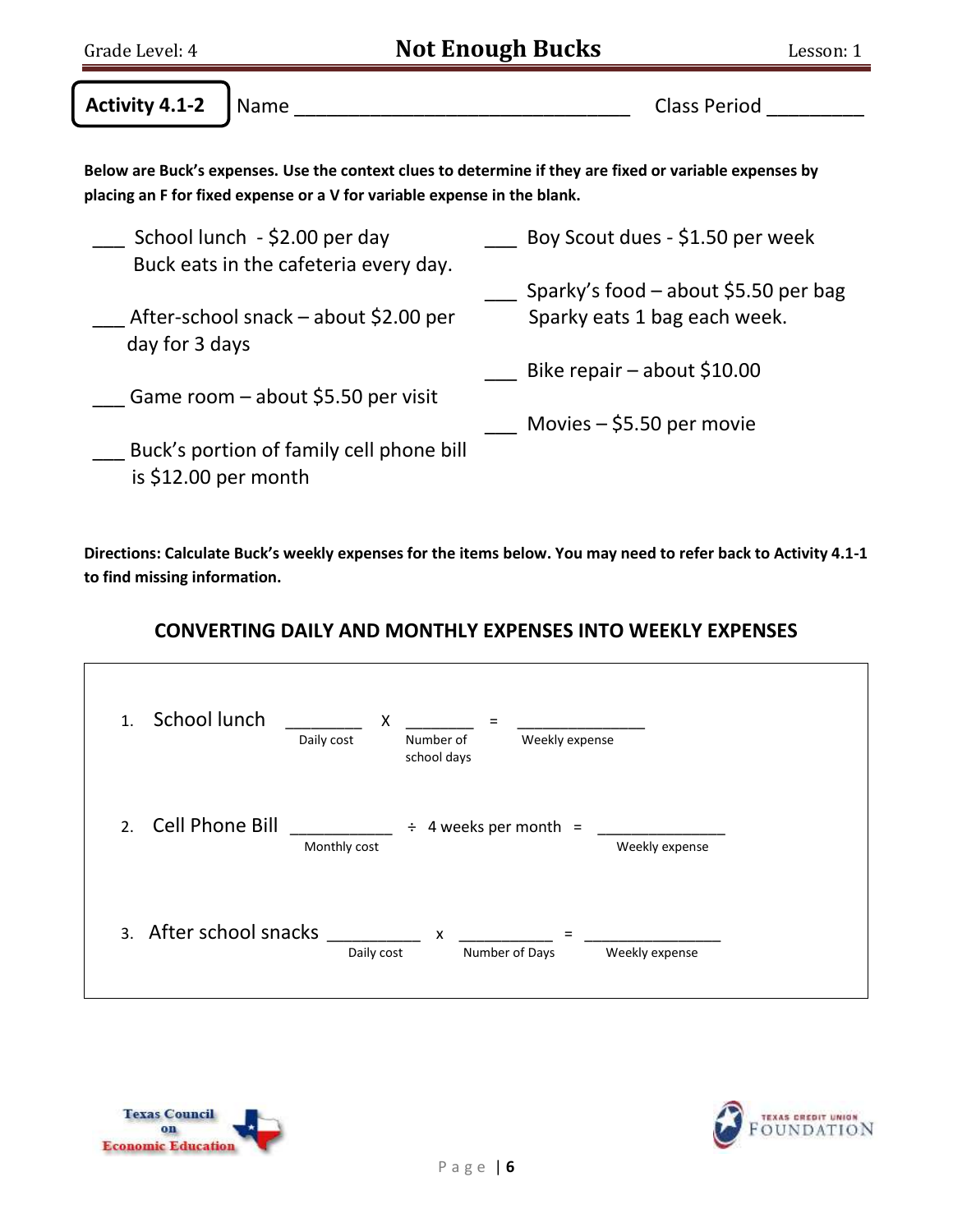| Grade Level: 4        |                                                                          | <b>Not Enough Bucks</b>                                                                                 | Lesson: 1 |
|-----------------------|--------------------------------------------------------------------------|---------------------------------------------------------------------------------------------------------|-----------|
| <b>Activity 4.1-2</b> | Name                                                                     | <b>Class Period</b>                                                                                     |           |
|                       | placing an F for fixed expense or a V for variable expense in the blank. | Below are Buck's expenses. Use the context clues to determine if they are fixed or variable expenses by |           |
|                       | School lunch - \$2.00 per day<br>Buck eats in the cafeteria every day.   | Boy Scout dues - \$1.50 per week                                                                        |           |
| day for 3 days        | After-school snack – about \$2.00 per                                    | Sparky's food $-$ about \$5.50 per bag<br>Sparky eats 1 bag each week.                                  |           |
|                       | Game room $-$ about \$5.50 per visit                                     | Bike repair $-$ about \$10.00<br>Movies $-$ \$5.50 per movie                                            |           |
| is \$12.00 per month  | Buck's portion of family cell phone bill                                 |                                                                                                         |           |

**Directions: Calculate Buck's weekly expenses for the items below. You may need to refer back to Activity 4.1-1 to find missing information.** 

# **CONVERTING DAILY AND MONTHLY EXPENSES INTO WEEKLY EXPENSES**

| School lunch<br>$\mathbf{1}$ . | X<br>$=$<br>Daily cost<br>Weekly expense<br>Number of<br>school days |
|--------------------------------|----------------------------------------------------------------------|
| Cell Phone Bill<br>2.          | 4 weeks per month $=$<br>÷<br>Monthly cost<br>Weekly expense         |
| 3. After school snacks         | X<br>$=$<br>Daily cost<br>Number of Days<br>Weekly expense           |



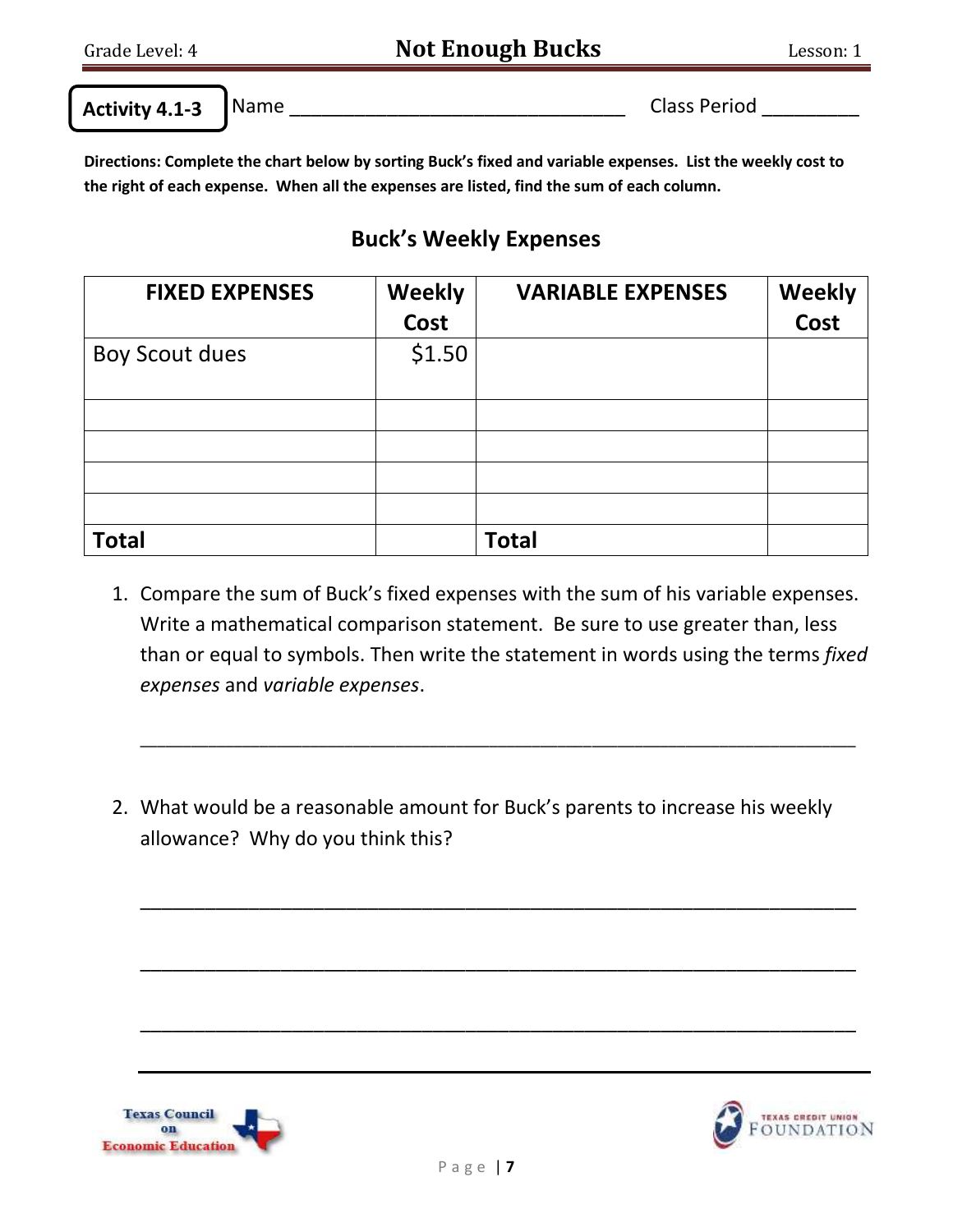**Activity 4.1-3**

Name \_\_\_\_\_\_\_\_\_\_\_\_\_\_\_\_\_\_\_\_\_\_\_\_\_\_\_\_\_\_\_ Class Period \_\_\_\_\_\_\_\_\_

**Directions: Complete the chart below by sorting Buck's fixed and variable expenses. List the weekly cost to the right of each expense. When all the expenses are listed, find the sum of each column.**

# **Buck's Weekly Expenses**

| <b>FIXED EXPENSES</b> | <b>Weekly</b><br><b>Cost</b> | <b>VARIABLE EXPENSES</b> | <b>Weekly</b><br>Cost |
|-----------------------|------------------------------|--------------------------|-----------------------|
| <b>Boy Scout dues</b> | \$1.50                       |                          |                       |
|                       |                              |                          |                       |
|                       |                              |                          |                       |
|                       |                              |                          |                       |
|                       |                              |                          |                       |
| <b>Total</b>          |                              | <b>Total</b>             |                       |

1. Compare the sum of Buck's fixed expenses with the sum of his variable expenses. Write a mathematical comparison statement. Be sure to use greater than, less than or equal to symbols. Then write the statement in words using the terms *fixed expenses* and *variable expenses*.

\_\_\_\_\_\_\_\_\_\_\_\_\_\_\_\_\_\_\_\_\_\_\_\_\_\_\_\_\_\_\_\_\_\_\_\_\_\_\_\_\_\_\_\_\_\_\_\_\_\_\_\_\_\_\_\_\_\_\_\_\_\_\_\_\_\_\_\_\_\_\_\_\_\_\_\_\_\_\_\_\_\_\_\_

\_\_\_\_\_\_\_\_\_\_\_\_\_\_\_\_\_\_\_\_\_\_\_\_\_\_\_\_\_\_\_\_\_\_\_\_\_\_\_\_\_\_\_\_\_\_\_\_\_\_\_\_\_\_\_\_\_\_\_\_\_\_\_\_\_\_

\_\_\_\_\_\_\_\_\_\_\_\_\_\_\_\_\_\_\_\_\_\_\_\_\_\_\_\_\_\_\_\_\_\_\_\_\_\_\_\_\_\_\_\_\_\_\_\_\_\_\_\_\_\_\_\_\_\_\_\_\_\_\_\_\_\_

\_\_\_\_\_\_\_\_\_\_\_\_\_\_\_\_\_\_\_\_\_\_\_\_\_\_\_\_\_\_\_\_\_\_\_\_\_\_\_\_\_\_\_\_\_\_\_\_\_\_\_\_\_\_\_\_\_\_\_\_\_\_\_\_\_\_

2. What would be a reasonable amount for Buck's parents to increase his weekly allowance? Why do you think this?



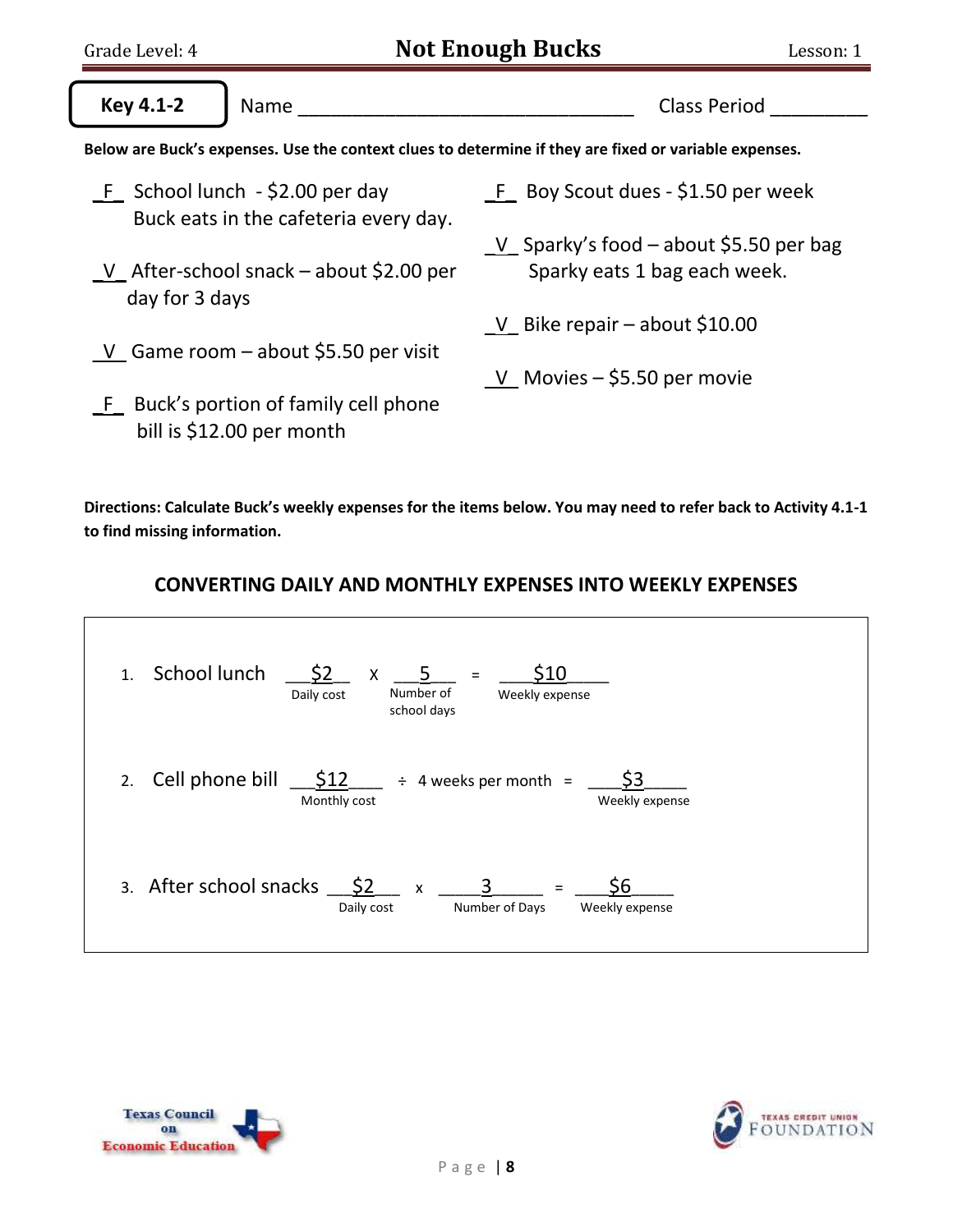| Grade Level: 4                    |                                           | <b>Not Enough Bucks</b><br>Lesson: 1                                                                  |
|-----------------------------------|-------------------------------------------|-------------------------------------------------------------------------------------------------------|
| <b>Key 4.1-2</b>                  | Name                                      | <b>Class Period</b>                                                                                   |
|                                   |                                           | Below are Buck's expenses. Use the context clues to determine if they are fixed or variable expenses. |
| $F$ School lunch - \$2.00 per day | Buck eats in the cafeteria every day.     | F Boy Scout dues - \$1.50 per week                                                                    |
| day for 3 days                    | V After-school snack $-$ about \$2.00 per | $V$ Sparky's food – about \$5.50 per bag<br>Sparky eats 1 bag each week.                              |
|                                   | V Game room $-$ about \$5.50 per visit    | V Bike repair $-$ about \$10.00                                                                       |
| bill is \$12.00 per month         | F Buck's portion of family cell phone     | V Movies $-$ \$5.50 per movie                                                                         |

**Directions: Calculate Buck's weekly expenses for the items below. You may need to refer back to Activity 4.1-1 to find missing information.** 

## **CONVERTING DAILY AND MONTHLY EXPENSES INTO WEEKLY EXPENSES**